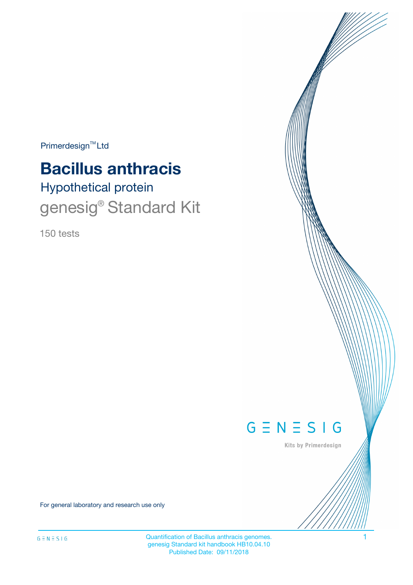$Primerdesign^{\text{TM}}Ltd$ 

# **Bacillus anthracis**

# Hypothetical protein genesig<sup>®</sup> Standard Kit

150 tests



Kits by Primerdesign

For general laboratory and research use only

Quantification of Bacillus anthracis genomes. 1 genesig Standard kit handbook HB10.04.10 Published Date: 09/11/2018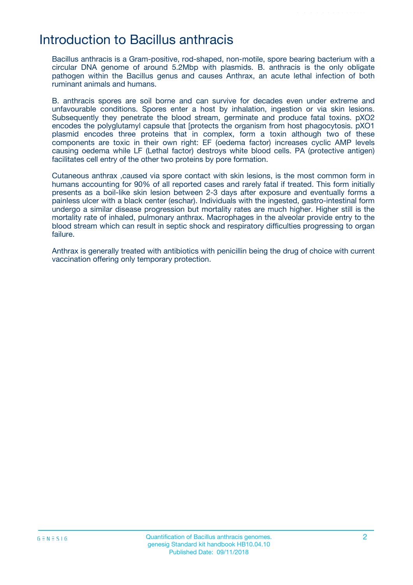## Introduction to Bacillus anthracis

Bacillus anthracis is a Gram-positive, rod-shaped, non-motile, spore bearing bacterium with a circular DNA genome of around 5.2Mbp with plasmids. B. anthracis is the only obligate pathogen within the Bacillus genus and causes Anthrax, an acute lethal infection of both ruminant animals and humans.

B. anthracis spores are soil borne and can survive for decades even under extreme and unfavourable conditions. Spores enter a host by inhalation, ingestion or via skin lesions. Subsequently they penetrate the blood stream, germinate and produce fatal toxins. pXO2 encodes the polyglutamyl capsule that [protects the organism from host phagocytosis. pXO1 plasmid encodes three proteins that in complex, form a toxin although two of these components are toxic in their own right: EF (oedema factor) increases cyclic AMP levels causing oedema while LF (Lethal factor) destroys white blood cells. PA (protective antigen) facilitates cell entry of the other two proteins by pore formation.

Cutaneous anthrax ,caused via spore contact with skin lesions, is the most common form in humans accounting for 90% of all reported cases and rarely fatal if treated. This form initially presents as a boil-like skin lesion between 2-3 days after exposure and eventually forms a painless ulcer with a black center (eschar). Individuals with the ingested, gastro-intestinal form undergo a similar disease progression but mortality rates are much higher. Higher still is the mortality rate of inhaled, pulmonary anthrax. Macrophages in the alveolar provide entry to the blood stream which can result in septic shock and respiratory difficulties progressing to organ failure.

Anthrax is generally treated with antibiotics with penicillin being the drug of choice with current vaccination offering only temporary protection.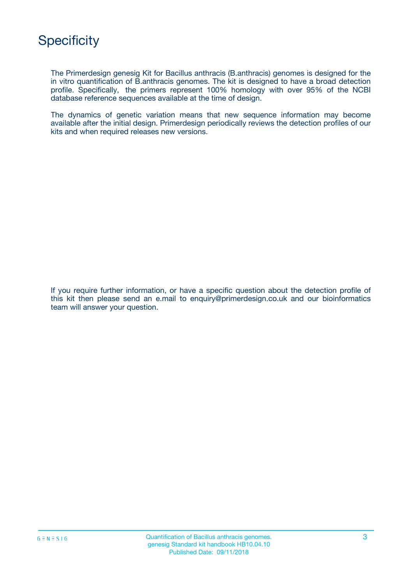The Primerdesign genesig Kit for Bacillus anthracis (B.anthracis) genomes is designed for the in vitro quantification of B.anthracis genomes. The kit is designed to have a broad detection profile. Specifically, the primers represent 100% homology with over 95% of the NCBI database reference sequences available at the time of design.

The dynamics of genetic variation means that new sequence information may become available after the initial design. Primerdesign periodically reviews the detection profiles of our kits and when required releases new versions.

If you require further information, or have a specific question about the detection profile of this kit then please send an e.mail to enquiry@primerdesign.co.uk and our bioinformatics team will answer your question.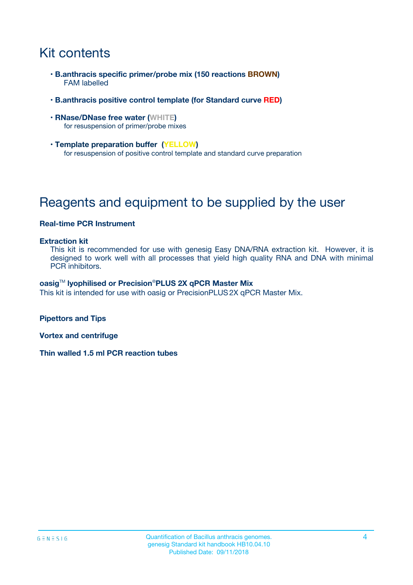# Kit contents

- **B.anthracis specific primer/probe mix (150 reactions BROWN)** FAM labelled
- **B.anthracis positive control template (for Standard curve RED)**
- **RNase/DNase free water (WHITE)** for resuspension of primer/probe mixes
- **Template preparation buffer (YELLOW)** for resuspension of positive control template and standard curve preparation

# Reagents and equipment to be supplied by the user

### **Real-time PCR Instrument**

#### **Extraction kit**

This kit is recommended for use with genesig Easy DNA/RNA extraction kit. However, it is designed to work well with all processes that yield high quality RNA and DNA with minimal PCR inhibitors.

#### **oasig**TM **lyophilised or Precision**®**PLUS 2X qPCR Master Mix**

This kit is intended for use with oasig or PrecisionPLUS2X qPCR Master Mix.

**Pipettors and Tips**

**Vortex and centrifuge**

**Thin walled 1.5 ml PCR reaction tubes**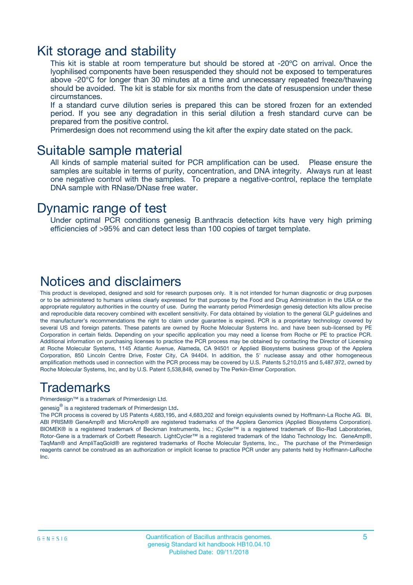### Kit storage and stability

This kit is stable at room temperature but should be stored at -20ºC on arrival. Once the lyophilised components have been resuspended they should not be exposed to temperatures above -20°C for longer than 30 minutes at a time and unnecessary repeated freeze/thawing should be avoided. The kit is stable for six months from the date of resuspension under these circumstances.

If a standard curve dilution series is prepared this can be stored frozen for an extended period. If you see any degradation in this serial dilution a fresh standard curve can be prepared from the positive control.

Primerdesign does not recommend using the kit after the expiry date stated on the pack.

### Suitable sample material

All kinds of sample material suited for PCR amplification can be used. Please ensure the samples are suitable in terms of purity, concentration, and DNA integrity. Always run at least one negative control with the samples. To prepare a negative-control, replace the template DNA sample with RNase/DNase free water.

### Dynamic range of test

Under optimal PCR conditions genesig B.anthracis detection kits have very high priming efficiencies of >95% and can detect less than 100 copies of target template.

### Notices and disclaimers

This product is developed, designed and sold for research purposes only. It is not intended for human diagnostic or drug purposes or to be administered to humans unless clearly expressed for that purpose by the Food and Drug Administration in the USA or the appropriate regulatory authorities in the country of use. During the warranty period Primerdesign genesig detection kits allow precise and reproducible data recovery combined with excellent sensitivity. For data obtained by violation to the general GLP guidelines and the manufacturer's recommendations the right to claim under guarantee is expired. PCR is a proprietary technology covered by several US and foreign patents. These patents are owned by Roche Molecular Systems Inc. and have been sub-licensed by PE Corporation in certain fields. Depending on your specific application you may need a license from Roche or PE to practice PCR. Additional information on purchasing licenses to practice the PCR process may be obtained by contacting the Director of Licensing at Roche Molecular Systems, 1145 Atlantic Avenue, Alameda, CA 94501 or Applied Biosystems business group of the Applera Corporation, 850 Lincoln Centre Drive, Foster City, CA 94404. In addition, the 5' nuclease assay and other homogeneous amplification methods used in connection with the PCR process may be covered by U.S. Patents 5,210,015 and 5,487,972, owned by Roche Molecular Systems, Inc, and by U.S. Patent 5,538,848, owned by The Perkin-Elmer Corporation.

### Trademarks

Primerdesign™ is a trademark of Primerdesign Ltd.

genesig $^\circledR$  is a registered trademark of Primerdesign Ltd.

The PCR process is covered by US Patents 4,683,195, and 4,683,202 and foreign equivalents owned by Hoffmann-La Roche AG. BI, ABI PRISM® GeneAmp® and MicroAmp® are registered trademarks of the Applera Genomics (Applied Biosystems Corporation). BIOMEK® is a registered trademark of Beckman Instruments, Inc.; iCycler™ is a registered trademark of Bio-Rad Laboratories, Rotor-Gene is a trademark of Corbett Research. LightCycler™ is a registered trademark of the Idaho Technology Inc. GeneAmp®, TaqMan® and AmpliTaqGold® are registered trademarks of Roche Molecular Systems, Inc., The purchase of the Primerdesign reagents cannot be construed as an authorization or implicit license to practice PCR under any patents held by Hoffmann-LaRoche Inc.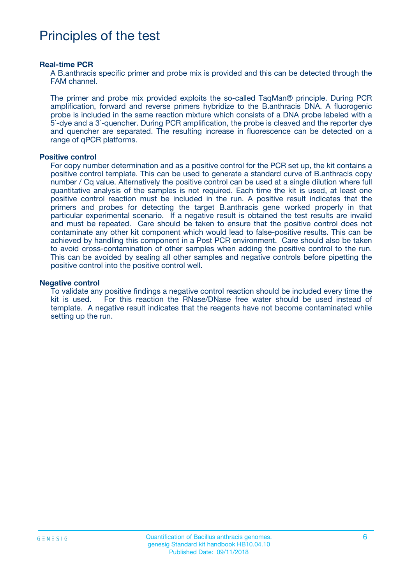## Principles of the test

#### **Real-time PCR**

A B.anthracis specific primer and probe mix is provided and this can be detected through the FAM channel.

The primer and probe mix provided exploits the so-called TaqMan® principle. During PCR amplification, forward and reverse primers hybridize to the B.anthracis DNA. A fluorogenic probe is included in the same reaction mixture which consists of a DNA probe labeled with a 5`-dye and a 3`-quencher. During PCR amplification, the probe is cleaved and the reporter dye and quencher are separated. The resulting increase in fluorescence can be detected on a range of qPCR platforms.

#### **Positive control**

For copy number determination and as a positive control for the PCR set up, the kit contains a positive control template. This can be used to generate a standard curve of B.anthracis copy number / Cq value. Alternatively the positive control can be used at a single dilution where full quantitative analysis of the samples is not required. Each time the kit is used, at least one positive control reaction must be included in the run. A positive result indicates that the primers and probes for detecting the target B.anthracis gene worked properly in that particular experimental scenario. If a negative result is obtained the test results are invalid and must be repeated. Care should be taken to ensure that the positive control does not contaminate any other kit component which would lead to false-positive results. This can be achieved by handling this component in a Post PCR environment. Care should also be taken to avoid cross-contamination of other samples when adding the positive control to the run. This can be avoided by sealing all other samples and negative controls before pipetting the positive control into the positive control well.

#### **Negative control**

To validate any positive findings a negative control reaction should be included every time the kit is used. For this reaction the RNase/DNase free water should be used instead of template. A negative result indicates that the reagents have not become contaminated while setting up the run.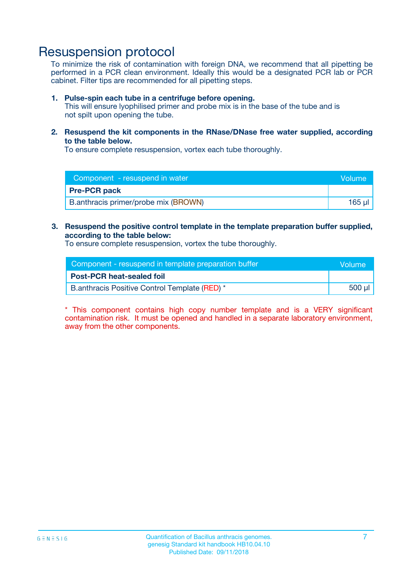## Resuspension protocol

To minimize the risk of contamination with foreign DNA, we recommend that all pipetting be performed in a PCR clean environment. Ideally this would be a designated PCR lab or PCR cabinet. Filter tips are recommended for all pipetting steps.

#### **1. Pulse-spin each tube in a centrifuge before opening.**

This will ensure lyophilised primer and probe mix is in the base of the tube and is not spilt upon opening the tube.

**2. Resuspend the kit components in the RNase/DNase free water supplied, according to the table below.**

To ensure complete resuspension, vortex each tube thoroughly.

| Component - resuspend in water       | <b>Volume</b> |
|--------------------------------------|---------------|
| <b>Pre-PCR pack</b>                  |               |
| B.anthracis primer/probe mix (BROWN) | 165 ul        |

#### **3. Resuspend the positive control template in the template preparation buffer supplied, according to the table below:**

To ensure complete resuspension, vortex the tube thoroughly.

| Component - resuspend in template preparation buffer |        |  |
|------------------------------------------------------|--------|--|
| <b>Post-PCR heat-sealed foil</b>                     |        |  |
| B.anthracis Positive Control Template (RED) *        | 500 µl |  |

\* This component contains high copy number template and is a VERY significant contamination risk. It must be opened and handled in a separate laboratory environment, away from the other components.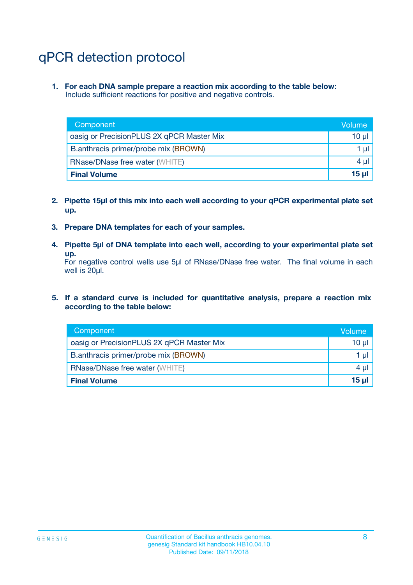# qPCR detection protocol

**1. For each DNA sample prepare a reaction mix according to the table below:** Include sufficient reactions for positive and negative controls.

| Component                                 | Volume           |
|-------------------------------------------|------------------|
| oasig or PrecisionPLUS 2X qPCR Master Mix | 10 $\mu$         |
| B.anthracis primer/probe mix (BROWN)      | 1 $\mu$          |
| <b>RNase/DNase free water (WHITE)</b>     | $4 \mu$          |
| <b>Final Volume</b>                       | 15 <sub>ul</sub> |

- **2. Pipette 15µl of this mix into each well according to your qPCR experimental plate set up.**
- **3. Prepare DNA templates for each of your samples.**
- **4. Pipette 5µl of DNA template into each well, according to your experimental plate set up.**

For negative control wells use 5µl of RNase/DNase free water. The final volume in each well is 20µl.

**5. If a standard curve is included for quantitative analysis, prepare a reaction mix according to the table below:**

| Component                                 | Volume          |
|-------------------------------------------|-----------------|
| oasig or PrecisionPLUS 2X qPCR Master Mix | 10 µl           |
| B.anthracis primer/probe mix (BROWN)      | 1 µI            |
| <b>RNase/DNase free water (WHITE)</b>     | $4 \mu$         |
| <b>Final Volume</b>                       | 15 <sub>µ</sub> |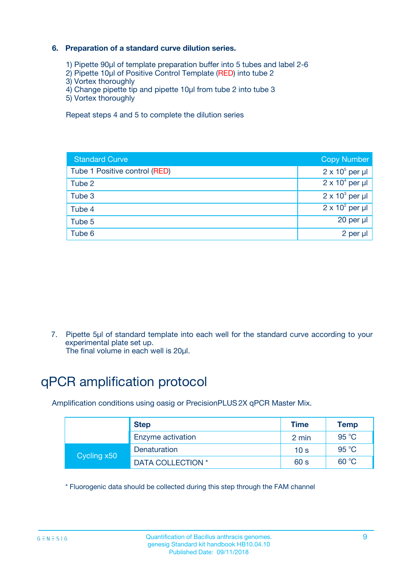### **6. Preparation of a standard curve dilution series.**

- 1) Pipette 90µl of template preparation buffer into 5 tubes and label 2-6
- 2) Pipette 10µl of Positive Control Template (RED) into tube 2
- 3) Vortex thoroughly
- 4) Change pipette tip and pipette 10µl from tube 2 into tube 3
- 5) Vortex thoroughly

Repeat steps 4 and 5 to complete the dilution series

| <b>Standard Curve</b>         | <b>Copy Number</b>     |
|-------------------------------|------------------------|
| Tube 1 Positive control (RED) | $2 \times 10^5$ per µl |
| Tube 2                        | $2 \times 10^4$ per µl |
| Tube 3                        | $2 \times 10^3$ per µl |
| Tube 4                        | $2 \times 10^2$ per µl |
| Tube 5                        | 20 per µl              |
| Tube 6                        | 2 per ul               |

7. Pipette 5µl of standard template into each well for the standard curve according to your experimental plate set up.

The final volume in each well is 20µl.

# qPCR amplification protocol

Amplification conditions using oasig or PrecisionPLUS2X qPCR Master Mix.

|             | <b>Step</b>       | <b>Time</b>     | Temp    |
|-------------|-------------------|-----------------|---------|
|             | Enzyme activation | 2 min           | 95 °C   |
| Cycling x50 | Denaturation      | 10 <sub>s</sub> | 95 $°C$ |
|             | DATA COLLECTION * | 60 s            | 60 °C   |

\* Fluorogenic data should be collected during this step through the FAM channel